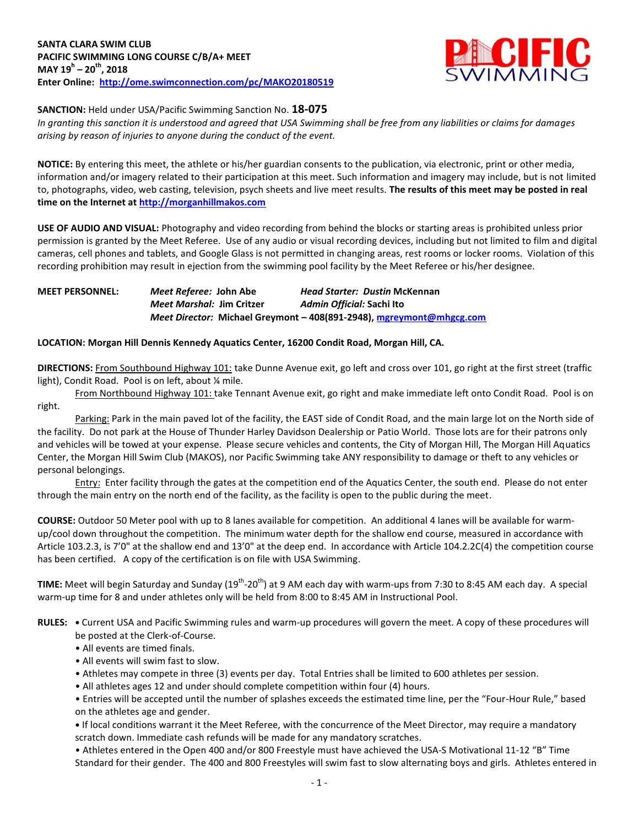

### **SANCTION:** Held under USA/Pacific Swimming Sanction No. **18-075**

*In granting this sanction it is understood and agreed that USA Swimming shall be free from any liabilities or claims for damages arising by reason of injuries to anyone during the conduct of the event.*

**NOTICE:** By entering this meet, the athlete or his/her guardian consents to the publication, via electronic, print or other media, information and/or imagery related to their participation at this meet. Such information and imagery may include, but is not limited to, photographs, video, web casting, television, psych sheets and live meet results. **The results of this meet may be posted in real time on the Internet a[t http://morganhillmakos.com](http://morganhillmakos.com/)**

**USE OF AUDIO AND VISUAL:** Photography and video recording from behind the blocks or starting areas is prohibited unless prior permission is granted by the Meet Referee. Use of any audio or visual recording devices, including but not limited to film and digital cameras, cell phones and tablets, and Google Glass is not permitted in changing areas, rest rooms or locker rooms. Violation of this recording prohibition may result in ejection from the swimming pool facility by the Meet Referee or his/her designee.

## **MEET PERSONNEL:** *Meet Referee:* **John Abe** *Head Starter: Dustin* **McKennan** *Meet Marshal:* **Jim Critzer** *Admin Official:* **Sachi Ito** *Meet Director:* **Michael Greymont – 408(891-2948), [mgreymont@mhgcg.com](mailto:mgreymont@mhgcg.com)**

### **LOCATION: Morgan Hill Dennis Kennedy Aquatics Center, 16200 Condit Road, Morgan Hill, CA.**

**DIRECTIONS:** From Southbound Highway 101: take Dunne Avenue exit, go left and cross over 101, go right at the first street (traffic light), Condit Road. Pool is on left, about % mile.

From Northbound Highway 101: take Tennant Avenue exit, go right and make immediate left onto Condit Road. Pool is on right.

Parking: Park in the main paved lot of the facility, the EAST side of Condit Road, and the main large lot on the North side of the facility. Do not park at the House of Thunder Harley Davidson Dealership or Patio World. Those lots are for their patrons only and vehicles will be towed at your expense. Please secure vehicles and contents, the City of Morgan Hill, The Morgan Hill Aquatics Center, the Morgan Hill Swim Club (MAKOS), nor Pacific Swimming take ANY responsibility to damage or theft to any vehicles or personal belongings.

Entry: Enter facility through the gates at the competition end of the Aquatics Center, the south end. Please do not enter through the main entry on the north end of the facility, as the facility is open to the public during the meet.

**COURSE:** Outdoor 50 Meter pool with up to 8 lanes available for competition. An additional 4 lanes will be available for warmup/cool down throughout the competition. The minimum water depth for the shallow end course, measured in accordance with Article 103.2.3, is 7'0" at the shallow end and 13'0" at the deep end. In accordance with Article 104.2.2C(4) the competition course has been certified. A copy of the certification is on file with USA Swimming.

TIME: Meet will begin Saturday and Sunday (19<sup>th</sup>-20<sup>th</sup>) at 9 AM each day with warm-ups from 7:30 to 8:45 AM each day. A special warm-up time for 8 and under athletes only will be held from 8:00 to 8:45 AM in Instructional Pool.

- **RULES:** Current USA and Pacific Swimming rules and warm-up procedures will govern the meet. A copy of these procedures will be posted at the Clerk-of-Course.
	- All events are timed finals.
	- All events will swim fast to slow.
	- Athletes may compete in three (3) events per day. Total Entries shall be limited to 600 athletes per session.
	- All athletes ages 12 and under should complete competition within four (4) hours.

• Entries will be accepted until the number of splashes exceeds the estimated time line, per the "Four-Hour Rule," based on the athletes age and gender.

**•** If local conditions warrant it the Meet Referee, with the concurrence of the Meet Director, may require a mandatory scratch down. Immediate cash refunds will be made for any mandatory scratches.

• Athletes entered in the Open 400 and/or 800 Freestyle must have achieved the USA-S Motivational 11-12 "B" Time Standard for their gender. The 400 and 800 Freestyles will swim fast to slow alternating boys and girls. Athletes entered in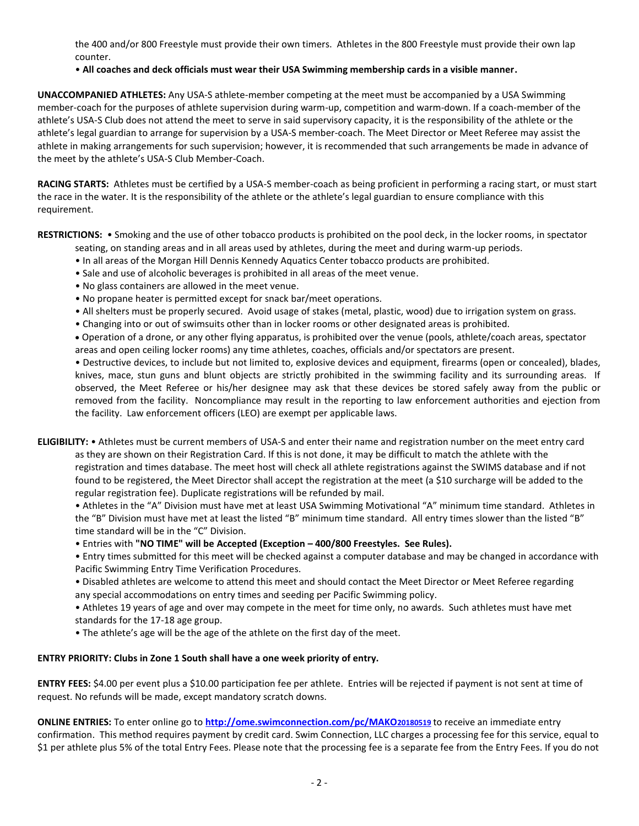the 400 and/or 800 Freestyle must provide their own timers. Athletes in the 800 Freestyle must provide their own lap counter.

### • **All coaches and deck officials must wear their USA Swimming membership cards in a visible manner.**

**UNACCOMPANIED ATHLETES:** Any USA-S athlete-member competing at the meet must be accompanied by a USA Swimming member-coach for the purposes of athlete supervision during warm-up, competition and warm-down. If a coach-member of the athlete's USA-S Club does not attend the meet to serve in said supervisory capacity, it is the responsibility of the athlete or the athlete's legal guardian to arrange for supervision by a USA-S member-coach. The Meet Director or Meet Referee may assist the athlete in making arrangements for such supervision; however, it is recommended that such arrangements be made in advance of the meet by the athlete's USA-S Club Member-Coach.

**RACING STARTS:** Athletes must be certified by a USA-S member-coach as being proficient in performing a racing start, or must start the race in the water. It is the responsibility of the athlete or the athlete's legal guardian to ensure compliance with this requirement.

**RESTRICTIONS:** • Smoking and the use of other tobacco products is prohibited on the pool deck, in the locker rooms, in spectator seating, on standing areas and in all areas used by athletes, during the meet and during warm-up periods.

- In all areas of the Morgan Hill Dennis Kennedy Aquatics Center tobacco products are prohibited.
- Sale and use of alcoholic beverages is prohibited in all areas of the meet venue.
- No glass containers are allowed in the meet venue.
- No propane heater is permitted except for snack bar/meet operations.
- All shelters must be properly secured. Avoid usage of stakes (metal, plastic, wood) due to irrigation system on grass.
- Changing into or out of swimsuits other than in locker rooms or other designated areas is prohibited.

 Operation of a drone, or any other flying apparatus, is prohibited over the venue (pools, athlete/coach areas, spectator areas and open ceiling locker rooms) any time athletes, coaches, officials and/or spectators are present.

• Destructive devices, to include but not limited to, explosive devices and equipment, firearms (open or concealed), blades, knives, mace, stun guns and blunt objects are strictly prohibited in the swimming facility and its surrounding areas. If observed, the Meet Referee or his/her designee may ask that these devices be stored safely away from the public or removed from the facility. Noncompliance may result in the reporting to law enforcement authorities and ejection from the facility. Law enforcement officers (LEO) are exempt per applicable laws.

**ELIGIBILITY:** • Athletes must be current members of USA-S and enter their name and registration number on the meet entry card as they are shown on their Registration Card. If this is not done, it may be difficult to match the athlete with the registration and times database. The meet host will check all athlete registrations against the SWIMS database and if not found to be registered, the Meet Director shall accept the registration at the meet (a \$10 surcharge will be added to the regular registration fee). Duplicate registrations will be refunded by mail.

• Athletes in the "A" Division must have met at least USA Swimming Motivational "A" minimum time standard. Athletes in the "B" Division must have met at least the listed "B" minimum time standard. All entry times slower than the listed "B" time standard will be in the "C" Division.

• Entries with **"NO TIME" will be Accepted (Exception – 400/800 Freestyles. See Rules).**

• Entry times submitted for this meet will be checked against a computer database and may be changed in accordance with Pacific Swimming Entry Time Verification Procedures.

• Disabled athletes are welcome to attend this meet and should contact the Meet Director or Meet Referee regarding any special accommodations on entry times and seeding per Pacific Swimming policy.

• Athletes 19 years of age and over may compete in the meet for time only, no awards. Such athletes must have met standards for the 17-18 age group.

• The athlete's age will be the age of the athlete on the first day of the meet.

### **ENTRY PRIORITY: Clubs in Zone 1 South shall have a one week priority of entry.**

**ENTRY FEES:** \$4.00 per event plus a \$10.00 participation fee per athlete. Entries will be rejected if payment is not sent at time of request. No refunds will be made, except mandatory scratch downs.

**ONLINE ENTRIES:** To enter online go to **[http://ome.swimconnection.com/pc/MAKO](http://ome.swimconnection.com/pc/MAKO20180519)20180519** to receive an immediate entry confirmation. This method requires payment by credit card. Swim Connection, LLC charges a processing fee for this service, equal to \$1 per athlete plus 5% of the total Entry Fees. Please note that the processing fee is a separate fee from the Entry Fees. If you do not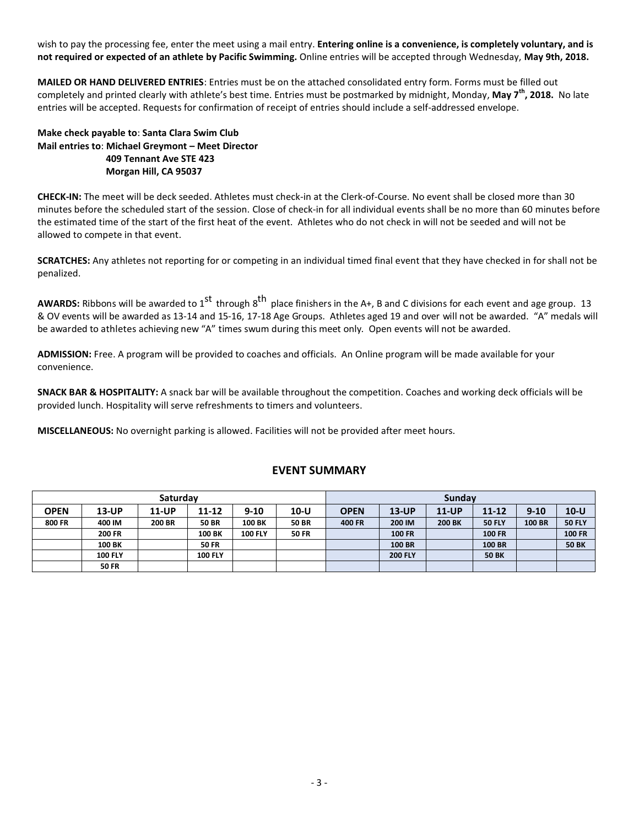wish to pay the processing fee, enter the meet using a mail entry. **Entering online is a convenience, is completely voluntary, and is not required or expected of an athlete by Pacific Swimming.** Online entries will be accepted through Wednesday, **May 9th, 2018.**

**MAILED OR HAND DELIVERED ENTRIES**: Entries must be on the attached consolidated entry form. Forms must be filled out completely and printed clearly with athlete's best time. Entries must be postmarked by midnight, Monday, **May 7 th, 2018.** No late entries will be accepted. Requests for confirmation of receipt of entries should include a self-addressed envelope.

**Make check payable to**: **Santa Clara Swim Club Mail entries to**: **Michael Greymont – Meet Director 409 Tennant Ave STE 423 Morgan Hill, CA 95037** 

**CHECK-IN:** The meet will be deck seeded. Athletes must check-in at the Clerk-of-Course. No event shall be closed more than 30 minutes before the scheduled start of the session. Close of check-in for all individual events shall be no more than 60 minutes before the estimated time of the start of the first heat of the event. Athletes who do not check in will not be seeded and will not be allowed to compete in that event.

**SCRATCHES:** Any athletes not reporting for or competing in an individual timed final event that they have checked in for shall not be penalized.

AWARDS: Ribbons will be awarded to 1<sup>st</sup> through 8<sup>th</sup> place finishers in the A+, B and C divisions for each event and age group. 13 & OV events will be awarded as 13-14 and 15-16, 17-18 Age Groups. Athletes aged 19 and over will not be awarded. "A" medals will be awarded to athletes achieving new "A" times swum during this meet only. Open events will not be awarded.

**ADMISSION:** Free. A program will be provided to coaches and officials. An Online program will be made available for your convenience.

**SNACK BAR & HOSPITALITY:** A snack bar will be available throughout the competition. Coaches and working deck officials will be provided lunch. Hospitality will serve refreshments to timers and volunteers.

**MISCELLANEOUS:** No overnight parking is allowed. Facilities will not be provided after meet hours.

| Saturdav      |                |               |                |                |              | <b>Sundav</b> |                |               |               |               |               |  |
|---------------|----------------|---------------|----------------|----------------|--------------|---------------|----------------|---------------|---------------|---------------|---------------|--|
| <b>OPEN</b>   | 13-UP          | 11-UP         | 11-12          | $9 - 10$       | $10-U$       | <b>OPEN</b>   | <b>13-UP</b>   | <b>11-UP</b>  | $11 - 12$     | $9 - 10$      | $10 - U$      |  |
| <b>800 FR</b> | 400 IM         | <b>200 BR</b> | <b>50 BR</b>   | 100 BK         | <b>50 BR</b> | 400 FR        | 200 IM         | <b>200 BK</b> | <b>50 FLY</b> | <b>100 BR</b> | <b>50 FLY</b> |  |
|               | <b>200 FR</b>  |               | 100 BK         | <b>100 FLY</b> | <b>50 FR</b> |               | <b>100 FR</b>  |               | <b>100 FR</b> |               | <b>100 FR</b> |  |
|               | <b>100 BK</b>  |               | <b>50 FR</b>   |                |              |               | <b>100 BR</b>  |               | <b>100 BR</b> |               | <b>50 BK</b>  |  |
|               | <b>100 FLY</b> |               | <b>100 FLY</b> |                |              |               | <b>200 FLY</b> |               | <b>50 BK</b>  |               |               |  |
|               | <b>50 FR</b>   |               |                |                |              |               |                |               |               |               |               |  |

# **EVENT SUMMARY**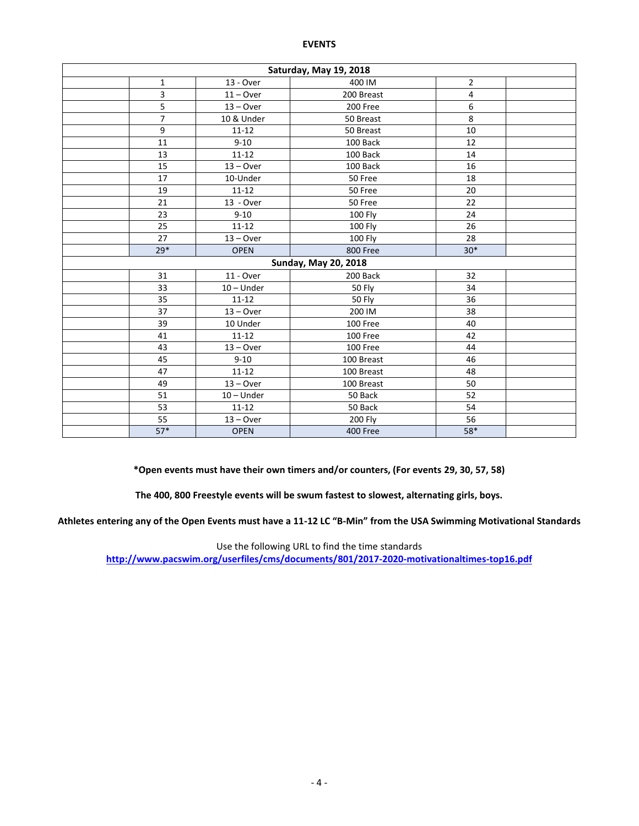#### **EVENTS**

| Saturday, May 19, 2018 |             |              |                             |                |  |  |  |  |  |  |
|------------------------|-------------|--------------|-----------------------------|----------------|--|--|--|--|--|--|
|                        | $\mathbf 1$ | 13 - Over    | 400 IM                      | $\overline{2}$ |  |  |  |  |  |  |
|                        | 3           | $11 -$ Over  | 200 Breast                  | 4              |  |  |  |  |  |  |
|                        | 5           | $13 -$ Over  | 200 Free                    | 6              |  |  |  |  |  |  |
|                        | 7           | 10 & Under   | 50 Breast                   | 8              |  |  |  |  |  |  |
|                        | 9           | $11 - 12$    | 50 Breast                   | 10             |  |  |  |  |  |  |
|                        | 11          | $9 - 10$     | 100 Back                    | 12             |  |  |  |  |  |  |
|                        | 13          | $11 - 12$    | 100 Back                    | 14             |  |  |  |  |  |  |
|                        | 15          | $13 - Over$  | 100 Back                    | 16             |  |  |  |  |  |  |
|                        | 17          | 10-Under     | 50 Free                     | 18             |  |  |  |  |  |  |
|                        | 19          | $11 - 12$    | 50 Free                     | 20             |  |  |  |  |  |  |
|                        | 21          | $13 - Over$  | 50 Free                     | 22             |  |  |  |  |  |  |
|                        | 23          | $9 - 10$     | <b>100 Fly</b>              | 24             |  |  |  |  |  |  |
|                        | 25          | $11 - 12$    | <b>100 Fly</b>              | 26             |  |  |  |  |  |  |
|                        | 27          | $13 -$ Over  | <b>100 Fly</b>              | 28             |  |  |  |  |  |  |
|                        | $29*$       | <b>OPEN</b>  | 800 Free                    | $30*$          |  |  |  |  |  |  |
|                        |             |              | <b>Sunday, May 20, 2018</b> |                |  |  |  |  |  |  |
|                        | 31          | 11 - Over    | 200 Back                    | 32             |  |  |  |  |  |  |
|                        | 33          | $10 -$ Under | 50 Fly                      | 34             |  |  |  |  |  |  |
|                        | 35          | $11 - 12$    | <b>50 Fly</b>               | 36             |  |  |  |  |  |  |
|                        | 37          | $13 - Over$  | 200 IM                      | 38             |  |  |  |  |  |  |
|                        | 39          | 10 Under     | 100 Free                    | 40             |  |  |  |  |  |  |
|                        | 41          | $11 - 12$    | 100 Free                    | 42             |  |  |  |  |  |  |
|                        | 43          | $13 - Over$  | 100 Free                    | 44             |  |  |  |  |  |  |
|                        | 45          | $9 - 10$     | 100 Breast                  | 46             |  |  |  |  |  |  |
|                        | 47          | $11 - 12$    | 100 Breast                  | 48             |  |  |  |  |  |  |
|                        | 49          | $13 - Over$  | 100 Breast                  | 50             |  |  |  |  |  |  |
|                        | 51          | $10 -$ Under | 50 Back                     | 52             |  |  |  |  |  |  |
|                        | 53          | $11 - 12$    | 50 Back                     | 54             |  |  |  |  |  |  |
|                        | 55          | $13 - Over$  | <b>200 Fly</b>              | 56             |  |  |  |  |  |  |
|                        | $57*$       | <b>OPEN</b>  | 400 Free                    | 58*            |  |  |  |  |  |  |

**\*Open events must have their own timers and/or counters, (For events 29, 30, 57, 58)**

**The 400, 800 Freestyle events will be swum fastest to slowest, alternating girls, boys.**

**Athletes entering any of the Open Events must have a 11-12 LC "B-Min" from the USA Swimming Motivational Standards**

Use the following URL to find the time standards

**<http://www.pacswim.org/userfiles/cms/documents/801/2017-2020-motivationaltimes-top16.pdf>**